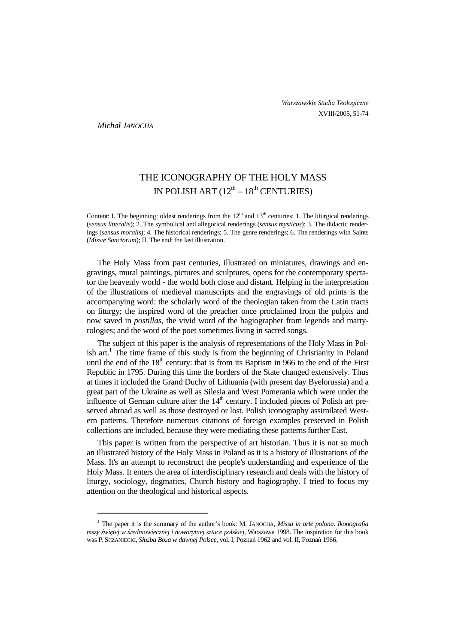*Michał JANOCHA*

 $\overline{a}$ 

# THE ICONOGRAPHY OF THE HOLY MASS IN POLISH ART  $(12<sup>th</sup> - 18<sup>th</sup>$  CENTURIES)

Content: I. The beginning: oldest renderings from the  $12<sup>th</sup>$  and  $13<sup>th</sup>$  centuries: 1. The liturgical renderings (*sensus litteralis*); 2. The symbolical and allegorical renderings (*sensus mysticus*); 3. The didactic renderings (*sensus moralis*); 4. The historical renderings; 5. The genre renderings; 6. The renderings with Saints (*Missæ Sanctorum*); II. The end: the last illustration.

The Holy Mass from past centuries, illustrated on miniatures, drawings and engravings, mural paintings, pictures and sculptures, opens for the contemporary spectator the heavenly world - the world both close and distant. Helping in the interpretation of the illustrations of medieval manuscripts and the engravings of old prints is the accompanying word: the scholarly word of the theologian taken from the Latin tracts on liturgy; the inspired word of the preacher once proclaimed from the pulpits and now saved in *postillas*, the vivid word of the hagiographer from legends and martyrologies; and the word of the poet sometimes living in sacred songs.

The subject of this paper is the analysis of representations of the Holy Mass in Polish art.<sup>1</sup> The time frame of this study is from the beginning of Christianity in Poland until the end of the  $18<sup>th</sup>$  century: that is from its Baptism in 966 to the end of the First Republic in 1795. During this time the borders of the State changed extensively. Thus at times it included the Grand Duchy of Lithuania (with present day Byelorussia) and a great part of the Ukraine as well as Silesia and West Pomerania which were under the influence of German culture after the  $14<sup>th</sup>$  century. I included pieces of Polish art preserved abroad as well as those destroyed or lost. Polish iconography assimilated Western patterns. Therefore numerous citations of foreign examples preserved in Polish collections are included, because they were mediating these patterns further East.

This paper is written from the perspective of art historian. Thus it is not so much an illustrated history of the Holy Mass in Poland as it is a history of illustrations of the Mass. It's an attempt to reconstruct the people's understanding and experience of the Holy Mass. It enters the area of interdisciplinary research and deals with the history of liturgy, sociology, dogmatics, Church history and hagiography. I tried to focus my attention on the theological and historical aspects.

<sup>&</sup>lt;sup>1</sup> The paper it is the summary of the author's book: M. JANOCHA, *Missa in arte polona. Ikonografia mszy świetej w średniowiecznej i nowożytnej sztuce polskiej. Warszawa 1998. The inspiration for this book* was P. SCZANIECKI, *Słu*Ŝ*ba Bo*Ŝ*a w dawnej Polsce*, vol. I, Poznań 1962 and vol. II, Poznań 1966.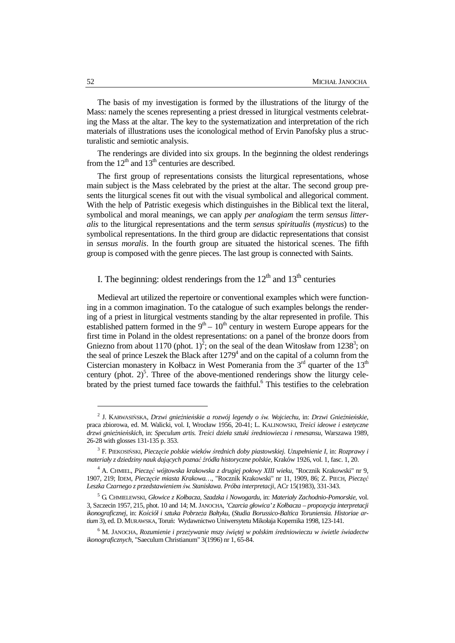The basis of my investigation is formed by the illustrations of the liturgy of the Mass: namely the scenes representing a priest dressed in liturgical vestments celebrating the Mass at the altar. The key to the systematization and interpretation of the rich materials of illustrations uses the iconological method of Ervin Panofsky plus a structuralistic and semiotic analysis.

The renderings are divided into six groups. In the beginning the oldest renderings from the  $12<sup>th</sup>$  and  $13<sup>th</sup>$  centuries are described.

The first group of representations consists the liturgical representations, whose main subject is the Mass celebrated by the priest at the altar. The second group presents the liturgical scenes fit out with the visual symbolical and allegorical comment. With the help of Patristic exegesis which distinguishes in the Biblical text the literal, symbolical and moral meanings, we can apply *per analogiam* the term *sensus litteralis* to the liturgical representations and the term *sensus spiritualis* (*mysticus*) to the symbolical representations. In the third group are didactic representations that consist in *sensus moralis*. In the fourth group are situated the historical scenes. The fifth group is composed with the genre pieces. The last group is connected with Saints.

I. The beginning: oldest renderings from the  $12<sup>th</sup>$  and  $13<sup>th</sup>$  centuries

Medieval art utilized the repertoire or conventional examples which were functioning in a common imagination. To the catalogue of such examples belongs the rendering of a priest in liturgical vestments standing by the altar represented in profile. This established pattern formed in the  $9<sup>th</sup> - 10<sup>th</sup>$  century in western Europe appears for the first time in Poland in the oldest representations: on a panel of the bronze doors from Gniezno from about 1170 (phot.  $1)^2$ ; on the seal of the dean Witosław from 1238<sup>3</sup>; on the seal of prince Leszek the Black after  $1279<sup>4</sup>$  and on the capital of a column from the Cistercian monastery in Kołbacz in West Pomerania from the  $3<sup>rd</sup>$  quarter of the  $13<sup>th</sup>$ century (phot.  $2^5$ . Three of the above-mentioned renderings show the liturgy celebrated by the priest turned face towards the faithful.<sup>6</sup> This testifies to the celebration

<sup>2</sup> J. KARWASIŃSKA, *Drzwi gnie*ź*nie*ń*skie a rozwój legendy o* ś*w. Wojciechu*, in: *Drzwi Gnie*ź*nie*ń*skie*, praca zbiorowa, ed. M. Walicki, vol. I, Wrocław 1956, 20-41; L. KALINOWSKI, *Tre*ś*ci ideowe i estetyczne drzwi gnie*ź*nie*ń*skich*, in: *Speculum artis. Tre*ś*ci dzieła sztuki* ś*redniowiecza i renesansu*, Warszawa 1989, 26-28 with glosses 131-135 p. 353.

<sup>3</sup> F. PIEKOSIŃSKI, *Piecz*ę*cie polskie wieków* ś*rednich doby piastowskiej. Uzupełnienie I*, in: *Rozprawy i materiały z dziedziny nauk daj*ą*cych pozna*ć ź*ródła historyczne polskie*, Kraków 1926, vol. 1, fasc. 1, 20.

<sup>4</sup> A. CHMIEL, *Piecz*ęć *wójtowska krakowska z drugiej połowy XIII wieku*, "Rocznik Krakowski" nr 9, 1907, 219; IDEM, *Piecz*ę*cie miasta Krakowa…*, "Rocznik Krakowski" nr 11, 1909, 86; Z. PIECH, *Piecz*ęć *Leszka Czarnego z przedstawieniem* ś*w. Stanisława. Próba interpretacji*, ACr 15(1983), 331-343.

<sup>5</sup> G. CHMIELEWSKI, *Głowice z Kołbacza, Szadzka i Nowogardu*, in: *Materiały Zachodnio-Pomorskie*, vol. 3, Szczecin 1957, 215, phot. 10 and 14; M. JANOCHA, *'Czarcia głowica' z Kołbacza – propozycja interpretacji*  ikonograficznej, in: Kościół i sztuka Pobrzeża Bałtyku, (Studia Borussico-Baltica Toruniensia. Historiae ar*tium* 3), ed. D. MURAWSKA, Toruń: Wydawnictwo Uniwersytetu Mikołaja Kopernika 1998, 123-141.

<sup>6</sup> M. JANOCHA, *Rozumienie i prze*Ŝ*ywanie mszy* ś*wi*ę*tej w polskim* ś*redniowieczu w* ś*wietle* ś*wiadectw ikonograficznych*, "Saeculum Christianum" 3(1996) nr 1, 65-84.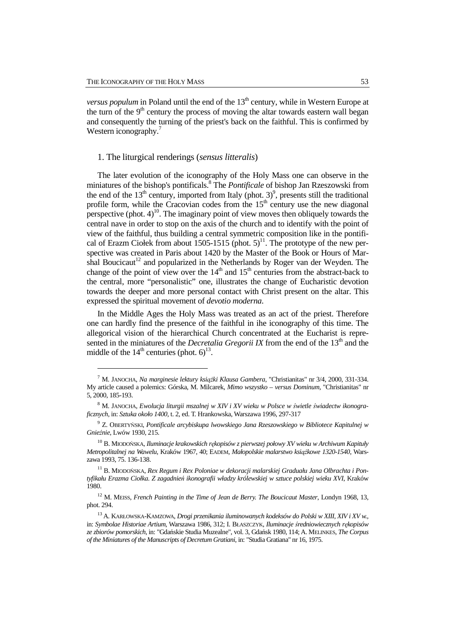l

*versus populum* in Poland until the end of the 13<sup>th</sup> century, while in Western Europe at the turn of the  $9<sup>th</sup>$  century the process of moving the altar towards eastern wall began and consequently the turning of the priest's back on the faithful. This is confirmed by Western iconography.<sup>7</sup>

## 1. The liturgical renderings (*sensus litteralis*)

The later evolution of the iconography of the Holy Mass one can observe in the miniatures of the bishop's pontificals.<sup>8</sup> The *Pontificale* of bishop Jan Rzeszowski from the end of the  $13<sup>th</sup>$  century, imported from Italy (phot. 3)<sup>9</sup>, presents still the traditional profile form, while the Cracovian codes from the  $15<sup>th</sup>$  century use the new diagonal perspective (phot.  $4$ )<sup>10</sup>. The imaginary point of view moves then obliquely towards the central nave in order to stop on the axis of the church and to identify with the point of view of the faithful, thus building a central symmetric composition like in the pontifical of Erazm Ciołek from about 1505-1515 (phot.  $5)^{11}$ . The prototype of the new perspective was created in Paris about 1420 by the Master of the Book or Hours of Marshal Boucicaut<sup>12</sup> and popularized in the Netherlands by Roger van der Weyden. The change of the point of view over the  $14<sup>th</sup>$  and  $15<sup>th</sup>$  centuries from the abstract-back to the central, more "personalistic" one, illustrates the change of Eucharistic devotion towards the deeper and more personal contact with Christ present on the altar. This expressed the spiritual movement of *devotio moderna*.

In the Middle Ages the Holy Mass was treated as an act of the priest. Therefore one can hardly find the presence of the faithful in ihe iconography of this time. The allegorical vision of the hierarchical Church concentrated at the Eucharist is represented in the miniatures of the *Decretalia Gregorii IX* from the end of the 13<sup>th</sup> and the middle of the  $14<sup>th</sup>$  centuries (phot. 6)<sup>13</sup>.

<sup>&</sup>lt;sup>7</sup> M. JANOCHA, *Na marginesie lektury książki Klausa Gambera*, "Christianitas" nr 3/4, 2000, 331-334. My article caused a polemics: Górska, M. Milcarek, *Mimo wszystko – versus Dominum*, "Christianitas" nr 5, 2000, 185-193.

<sup>8</sup> M. JANOCHA, *Ewolucja liturgii mszalnej w XIV i XV wieku w Polsce w* ś*wietle* ś*wiadectw ikonograficznych*, in: *Sztuka około 1400*, t. 2, ed. T. Hrankowska, Warszawa 1996, 297-317

<sup>9</sup> Z. OBERTYŃSKI, *Pontificale arcybiskupa lwowskiego Jana Rzeszowskiego w Bibliotece Kapitulnej w Gnie*ź*nie*, Lwów 1930, 215.

<sup>10</sup> B. MIODOŃSKA, *Iluminacje krakowskich r*ę*kopisów z pierwszej połowy XV wieku w Archiwum Kapituły*   $Metropolitalnej na Wawelu, Kraków 1967, 40; EADEM, *Madopolskie malarstwo książkowe 1320-1540*, Wars$ zawa 1993, 75. 136-138.

<sup>11</sup> B. MIODOŃSKA, *Rex Regum i Rex Poloniae w dekoracji malarskiej Graduału Jana Olbrachta i Pontyfikału Erazma Ciołka. Z zagadnie*ń *ikonografii władzy królewskiej w sztuce polskiej wieku XVI*, Kraków 1980.

<sup>12</sup> M. MEISS, *French Painting in the Time of Jean de Berry. The Boucicaut Master*, Londyn 1968, 13, phot. 294.

<sup>13</sup> A. KARŁOWSKA-KAMZOWA, *Drogi przenikania iluminowanych kodeksów do Polski w XIII, XIV i XV w.*, in: *Symbolae Historiae Artium*, Warszawa 1986, 312; I. BŁASZCZYK, *Iluminacje* ś*redniowiecznych r*ę*kopisów ze zbiorów pomorskich*, in: "Gdańskie Studia Muzealne", vol. 3, Gdańsk 1980, 114; A. MELINKES, *The Corpus of the Miniatures of the Manuscripts of Decretum Gratiani*, in: "Studia Gratiana" nr 16, 1975.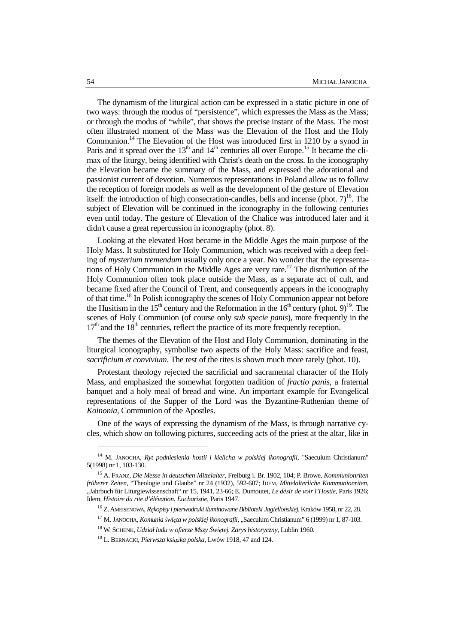The dynamism of the liturgical action can be expressed in a static picture in one of two ways: through the modus of "persistence", which expresses the Mass as the Mass; or through the modus of "while", that shows the precise instant of the Mass. The most often illustrated moment of the Mass was the Elevation of the Host and the Holy Communion.<sup>14</sup> The Elevation of the Host was introduced first in 1210 by a synod in Paris and it spread over the  $13<sup>th</sup>$  and  $14<sup>th</sup>$  centuries all over Europe.<sup>15</sup> It became the climax of the liturgy, being identified with Christ's death on the cross. In the iconography the Elevation became the summary of the Mass, and expressed the adorational and passionist current of devotion. Numerous representations in Poland allow us to follow the reception of foreign models as well as the development of the gesture of Elevation itself: the introduction of high consecration-candles, bells and incense (phot.  $7)^{16}$ . The subject of Elevation will be continued in the iconography in the following centuries even until today. The gesture of Elevation of the Chalice was introduced later and it didn't cause a great repercussion in iconography (phot. 8).

Looking at the elevated Host became in the Middle Ages the main purpose of the Holy Mass. It substituted for Holy Communion, which was received with a deep feeling of *mysterium tremendum* usually only once a year. No wonder that the representations of Holy Communion in the Middle Ages are very rare.<sup>17</sup> The distribution of the Holy Communion often took place outside the Mass, as a separate act of cult, and became fixed after the Council of Trent, and consequently appears in the iconography of that time.<sup>18</sup> In Polish iconography the scenes of Holy Communion appear not before the Husitism in the  $15<sup>th</sup>$  century and the Reformation in the  $16<sup>th</sup>$  century (phot. 9)<sup>19</sup>. The scenes of Holy Communion (of course only *sub specie panis*), more frequently in the  $17<sup>th</sup>$  and the  $18<sup>th</sup>$  centuries, reflect the practice of its more frequently reception.

The themes of the Elevation of the Host and Holy Communion, dominating in the liturgical iconography, symbolise two aspects of the Holy Mass: sacrifice and feast, *sacrificium et convivium*. The rest of the rites is shown much more rarely (phot. 10).

Protestant theology rejected the sacrificial and sacramental character of the Holy Mass, and emphasized the somewhat forgotten tradition of *fractio panis*, a fraternal banquet and a holy meal of bread and wine. An important example for Evangelical representations of the Supper of the Lord was the Byzantine-Ruthenian theme of *Koinonia*, Communion of the Apostles.

One of the ways of expressing the dynamism of the Mass, is through narrative cycles, which show on following pictures, succeeding acts of the priest at the altar, like in

<sup>&</sup>lt;sup>14</sup> M. JANOCHA, *Ryt podniesienia hostii i kielicha w polskiej ikonografii*, "Saeculum Christianum" 5(1998) nr 1, 103-130.

<sup>15</sup> A. FRANZ, *Die Messe in deutschen Mittelalter*, Freiburg i. Br. 1902, 104; P. Browe, *Kommunionriten früherer Zeiten*, "Theologie und Glaube" nr 24 (1932), 592-607; IDEM, *Mittelalterliche Kommunionriten*, "Jahrbuch für Liturgiewissenschaft" nr 15, 1941, 23-66; E. Dumoutet, *Le dèsir de voir l'Hostie*, Paris 1926; Idem, *Histoire du rite d'élévation. Eucharistie*, Paris 1947.

<sup>16</sup> Z. AMEISENOWA, *R*ę*kopisy i pierwodruki iluminowane Biblioteki Jagiello*ń*skiej*, Kraków 1958, nr 22, 28.

<sup>&</sup>lt;sup>17</sup> M. JANOCHA, *Komunia święta w polskiej ikonografii*, "Saeculum Christianum" 6 (1999) nr 1, 87-103.

<sup>18</sup> W. SCHENK, *Udział ludu w ofierze Mszy* Ś*wi*ę*tej. Zarys historyczny*, Lublin 1960.

<sup>&</sup>lt;sup>19</sup> L. BERNACKI, *Pierwsza książka polska*, Lwów 1918, 47 and 124.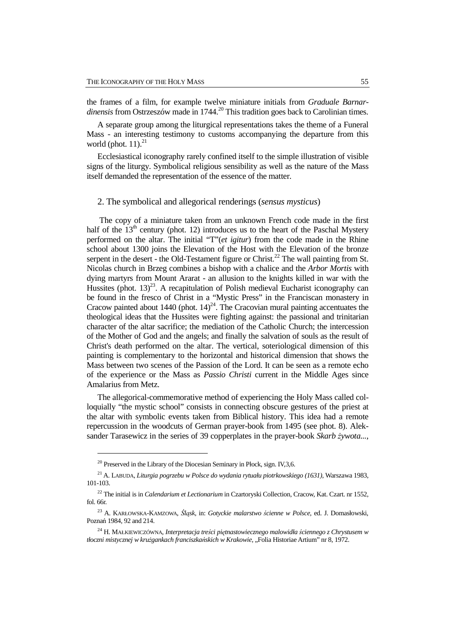the frames of a film, for example twelve miniature initials from *Graduale Barnardinensis* from Ostrzeszów made in 1744.<sup>20</sup> This tradition goes back to Carolinian times.

A separate group among the liturgical representations takes the theme of a Funeral Mass - an interesting testimony to customs accompanying the departure from this world (phot.  $11$ ). $^{21}$ 

Ecclesiastical iconography rarely confined itself to the simple illustration of visible signs of the liturgy. Symbolical religious sensibility as well as the nature of the Mass itself demanded the representation of the essence of the matter.

## 2. The symbolical and allegorical renderings (*sensus mysticus*)

 The copy of a miniature taken from an unknown French code made in the first half of the  $13<sup>th</sup>$  century (phot. 12) introduces us to the heart of the Paschal Mystery performed on the altar. The initial "T"(*et igitur*) from the code made in the Rhine school about 1300 joins the Elevation of the Host with the Elevation of the bronze serpent in the desert - the Old-Testament figure or Christ.<sup>22</sup> The wall painting from St. Nicolas church in Brzeg combines a bishop with a chalice and the *Arbor Mortis* with dying martyrs from Mount Ararat - an allusion to the knights killed in war with the Hussites (phot.  $13)^{23}$ . A recapitulation of Polish medieval Eucharist iconography can be found in the fresco of Christ in a "Mystic Press" in the Franciscan monastery in Cracow painted about 1440 (phot.  $14)^{24}$ . The Cracovian mural painting accentuates the theological ideas that the Hussites were fighting against: the passional and trinitarian character of the altar sacrifice; the mediation of the Catholic Church; the intercession of the Mother of God and the angels; and finally the salvation of souls as the result of Christ's death performed on the altar. The vertical, soteriological dimension of this painting is complementary to the horizontal and historical dimension that shows the Mass between two scenes of the Passion of the Lord. It can be seen as a remote echo of the experience or the Mass as *Passio Christi* current in the Middle Ages since Amalarius from Metz.

The allegorical-commemorative method of experiencing the Holy Mass called colloquially "the mystic school" consists in connecting obscure gestures of the priest at the altar with symbolic events taken from Biblical history. This idea had a remote repercussion in the woodcuts of German prayer-book from 1495 (see phot. 8). Aleksander Tarasewicz in the series of 39 copperplates in the prayer-book *Skarb żywota...*,

<sup>&</sup>lt;sup>20</sup> Preserved in the Library of the Diocesian Seminary in Płock, sign. IV, 3, 6.

<sup>21</sup> A. LABUDA, *Liturgia pogrzebu w Polsce do wydania rytuału piotrkowskiego (1631)*, Warszawa 1983, 101-103.

<sup>22</sup> The initial is in *Calendarium et Lectionarium* in Czartoryski Collection, Cracow, Kat. Czart. nr 1552, fol. 66r.

<sup>23</sup> A. KARŁOWSKA-KAMZOWA, Ś*l*ą*sk*, in: *Gotyckie malarstwo* ś*cienne w Polsce*, ed. J. Domasłowski, Poznań 1984, 92 and 214.

<sup>24</sup> H. MAŁKIEWICZÓWNA, *Interpretacja tre*ś*ci pi*ę*tnastowiecznego malowidła* ś*ciennego z Chrystusem w tłoczni mistycznej w kru*Ŝ*gankach franciszka*ń*skich w Krakowie*, "Folia Historiae Artium" nr 8, 1972.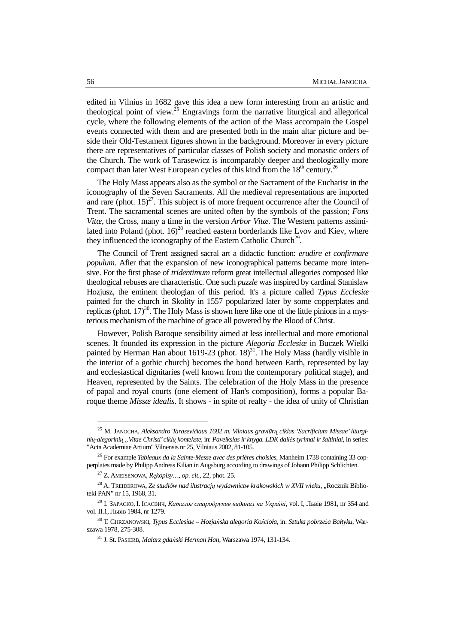edited in Vilnius in 1682 gave this idea a new form interesting from an artistic and theological point of view.<sup>25</sup> Engravings form the narrative liturgical and allegorical cycle, where the following elements of the action of the Mass accompain the Gospel events connected with them and are presented both in the main altar picture and beside their Old-Testament figures shown in the background. Moreover in every picture there are representatives of particular classes of Polish society and monastic orders of the Church. The work of Tarasewicz is incomparably deeper and theologically more compact than later West European cycles of this kind from the  $18<sup>th</sup>$  century.<sup>26</sup>

The Holy Mass appears also as the symbol or the Sacrament of the Eucharist in the iconography of the Seven Sacraments. All the medieval representations are imported and rare (phot.  $15)^{27}$ . This subject is of more frequent occurrence after the Council of Trent. The sacramental scenes are united often by the symbols of the passion; *Fons Vitæ*, the Cross, many a time in the version *Arbor Vitæ*. The Western patterns assimilated into Poland (phot.  $16)^{28}$  reached eastern borderlands like Lvov and Kiev, where they influenced the iconography of the Eastern Catholic Church<sup>29</sup>.

The Council of Trent assigned sacral art a didactic function: *erudire et confirmare populum*. Afier that the expansion of new iconographical patterns became more intensive. For the first phase of *tridentimum* reform great intellectual allegories composed like theological rebuses are characteristic. One such *puzzle* was inspired by cardinal Stanislaw Hozjusz, the eminent theologian of this period. It's a picture called *Typus Ecclesiæ* painted for the church in Skolity in 1557 popularized later by some copperplates and replicas (phot.  $17$ )<sup>30</sup>. The Holy Mass is shown here like one of the little pinions in a mysterious mechanism of the machine of grace all powered by the Blood of Christ.

However, Polish Baroque sensibility aimed at less intellectual and more emotional scenes. It founded its expression in the picture *Alegoria Ecclesiæ* in Buczek Wielki painted by Herman Han about 1619-23 (phot. 18)<sup>31</sup>. The Holy Mass (hardly visible in the interior of a gothic church) becomes the bond between Earth, represented by lay and ecclesiastical dignitaries (well known from the contemporary political stage), and Heaven, represented by the Saints. The celebration of the Holy Mass in the presence of papal and royal courts (one element of Han's composition), forms a popular Baroque theme *Missæ idealis*. It shows - in spite of realty - the idea of unity of Christian

<sup>25</sup> M. JANOCHA, *Aleksandro Tarasevi*č*iaus 1682 m. Vilniaus gravi*ū*r*ų *ciklas 'Sacrificium Missae' liturgini*ų*-alegorini*ų *"Vitae Christi' cikl*ų *kontekste*, in: *Paveikslas ir knyga. LDK dail*÷*s tyrimai ir šaltiniai*, in series: "Acta Academiae Artium" Vilnensis nr 25, Vilniaus 2002, 81-105.

<sup>26</sup> For example *Tableaux da la Sainte-Messe avec des prières choisies*, Manheim 1738 containing 33 copperplates made by Philipp Andreas Kilian in Augsburg according to drawings of Johann Philipp Schlichten.

<sup>27</sup> Z. AMEISENOWA, *R*ę*kopisy…*, *op. cit*., 22, phot. 25.

<sup>&</sup>lt;sup>28</sup> A. TREIDEROWA, Ze studiów nad ilustracją wydawnictw krakowskich w XVII wieku, "Rocznik Biblioteki PAN" nr 15, 1968, 31.

<sup>&</sup>lt;sup>29</sup> І. ЗАРАСКО, І. ІСАЄВИЧ, Каталог стародрукив виданих на Україні, vol. I, Львів 1981, nr 354 and vol. II.1, Львів 1984, nr 1279.

<sup>&</sup>lt;sup>30</sup> T. CHRZANOWSKI, *Typus Ecclesiae – Hozjańska alegoria Kościoła*, in: *Sztuka pobrzeża Bałtyku*, Warszawa 1978, 275-308.

<sup>31</sup> J. St. PASIERB, *Malarz gda*ń*ski Herman Han,* Warszawa 1974, 131-134.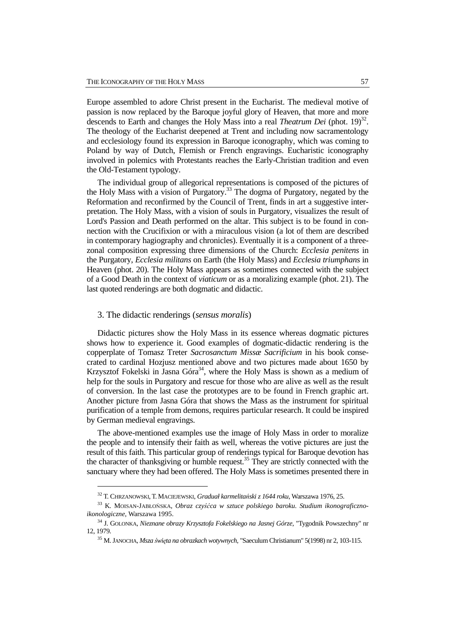Europe assembled to adore Christ present in the Eucharist. The medieval motive of passion is now replaced by the Baroque joyful glory of Heaven, that more and more descends to Earth and changes the Holy Mass into a real *Theatrum Dei* (phot. 19)<sup>32</sup>. The theology of the Eucharist deepened at Trent and including now sacramentology and ecclesiology found its expression in Baroque iconography, which was coming to Poland by way of Dutch, Flemish or French engravings. Eucharistic iconography involved in polemics with Protestants reaches the Early-Christian tradition and even the Old-Testament typology.

The individual group of allegorical representations is composed of the pictures of the Holy Mass with a vision of Purgatory.<sup>33</sup> The dogma of Purgatory, negated by the Reformation and reconfirmed by the Council of Trent, finds in art a suggestive interpretation. The Holy Mass, with a vision of souls in Purgatory, visualizes the result of Lord's Passion and Death performed on the altar. This subject is to be found in connection with the Crucifixion or with a miraculous vision (a lot of them are described in contemporary hagiography and chronicles). Eventually it is a component of a threezonal composition expressing three dimensions of the Church: *Ecclesia penitens* in the Purgatory, *Ecclesia militans* on Earth (the Holy Mass) and *Ecclesia triumphans* in Heaven (phot. 20). The Holy Mass appears as sometimes connected with the subject of a Good Death in the context of *viaticum* or as a moralizing example (phot. 21). The last quoted renderings are both dogmatic and didactic.

## 3. The didactic renderings (*sensus moralis*)

 $\overline{a}$ 

Didactic pictures show the Holy Mass in its essence whereas dogmatic pictures shows how to experience it. Good examples of dogmatic-didactic rendering is the copperplate of Tomasz Treter *Sacrosanctum Missæ Sacrificium* in his book consecrated to cardinal Hozjusz mentioned above and two pictures made about 1650 by Krzysztof Fokelski in Jasna Góra<sup>34</sup>, where the Holy Mass is shown as a medium of help for the souls in Purgatory and rescue for those who are alive as well as the result of conversion. In the last case the prototypes are to be found in French graphic art. Another picture from Jasna Góra that shows the Mass as the instrument for spiritual purification of a temple from demons, requires particular research. It could be inspired by German medieval engravings.

The above-mentioned examples use the image of Holy Mass in order to moralize the people and to intensify their faith as well, whereas the votive pictures are just the result of this faith. This particular group of renderings typical for Baroque devotion has the character of thanksgiving or humble request. $35$  They are strictly connected with the sanctuary where they had been offered. The Holy Mass is sometimes presented there in

<sup>32</sup> T. CHRZANOWSKI,T. MACIEJEWSKI, *Graduał karmelita*ń*ski z 1644 roku*, Warszawa 1976, 25.

<sup>33</sup> K. MOISAN-JABŁOŃSKA, *Obraz czy*ść*ca w sztuce polskiego baroku. Studium ikonograficznoikonologiczne*, Warszawa 1995.

<sup>34</sup> J. GOLONKA, *Nieznane obrazy Krzysztofa Fokelskiego na Jasnej Górze*, "Tygodnik Powszechny" nr 12, 1979.

<sup>35</sup> M. JANOCHA, *Msza* ś*wi*ę*ta na obrazkach wotywnych*, "Saeculum Christianum" 5(1998) nr 2, 103-115.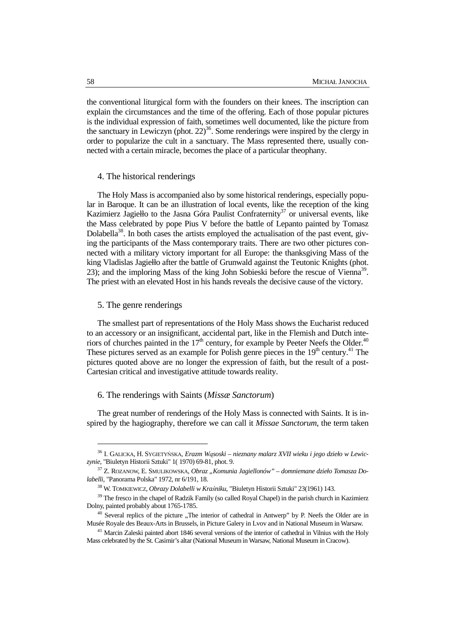the conventional liturgical form with the founders on their knees. The inscription can explain the circumstances and the time of the offering. Each of those popular pictures is the individual expression of faith, sometimes well documented, like the picture from the sanctuary in Lewiczyn (phot.  $22$ )<sup>36</sup>. Some renderings were inspired by the clergy in order to popularize the cult in a sanctuary. The Mass represented there, usually connected with a certain miracle, becomes the place of a particular theophany.

#### 4. The historical renderings

The Holy Mass is accompanied also by some historical renderings, especially popular in Baroque. It can be an illustration of local events, like the reception of the king Kazimierz Jagiełło to the Jasna Góra Paulist Confraternity<sup>37</sup> or universal events, like the Mass celebrated by pope Pius V before the battle of Lepanto painted by Tomasz Dolabella<sup>38</sup>. In both cases the artists employed the actualisation of the past event, giving the participants of the Mass contemporary traits. There are two other pictures connected with a military victory important for all Europe: the thanksgiving Mass of the king Vladislas Jagiełło after the battle of Grunwald against the Teutonic Knights (phot. 23); and the imploring Mass of the king John Sobieski before the rescue of Vienna<sup>39</sup>. The priest with an elevated Host in his hands reveals the decisive cause of the victory.

## 5. The genre renderings

 $\overline{a}$ 

The smallest part of representations of the Holy Mass shows the Eucharist reduced to an accessory or an insignificant, accidental part, like in the Flemish and Dutch interiors of churches painted in the  $17<sup>th</sup>$  century, for example by Peeter Neefs the Older.<sup>40</sup> These pictures served as an example for Polish genre pieces in the  $19<sup>th</sup>$  century.<sup>41</sup> The pictures quoted above are no longer the expression of faith, but the result of a post-Cartesian critical and investigative attitude towards reality.

### 6. The renderings with Saints (*Missæ Sanctorum*)

The great number of renderings of the Holy Mass is connected with Saints. It is inspired by the hagiography, therefore we can call it *Missae Sanctorum*, the term taken

<sup>36</sup> I. GALICKA, H. SYGIETYŃSKA, *Erazm W*ą*soski – nieznany malarz XVII wieku i jego dzieło w Lewiczynie*, "Biuletyn Historii Sztuki" 1( 1970) 69-81, phot. 9.

<sup>&</sup>lt;sup>37</sup> Z. ROZANOW, E. SMULIKOWSKA, Obraz "Komunia Jagiellonów" – domniemane dzieło Tomasza Do*labelli*, "Panorama Polska" 1972, nr 6/191, 18.

<sup>38</sup> W. TOMKIEWICZ, *Obrazy Dolabelli w Kra*ś*niku*, "Biuletyn Historii Sztuki" 23(1961) 143.

<sup>&</sup>lt;sup>39</sup> The fresco in the chapel of Radzik Family (so called Royal Chapel) in the parish church in Kazimierz Dolny, painted probably about 1765-1785.

 $40$  Several replics of the picture "The interior of cathedral in Antwerp" by P. Neefs the Older are in Musée Royale des Beaux-Arts in Brussels, in Picture Galery in Lvov and in National Museum in Warsaw.

<sup>&</sup>lt;sup>41</sup> Marcin Zaleski painted abort 1846 several versions of the interior of cathedral in Vilnius with the Holy Mass celebrated by the St. Casimir's altar (National Museum in Warsaw, National Museum in Cracow).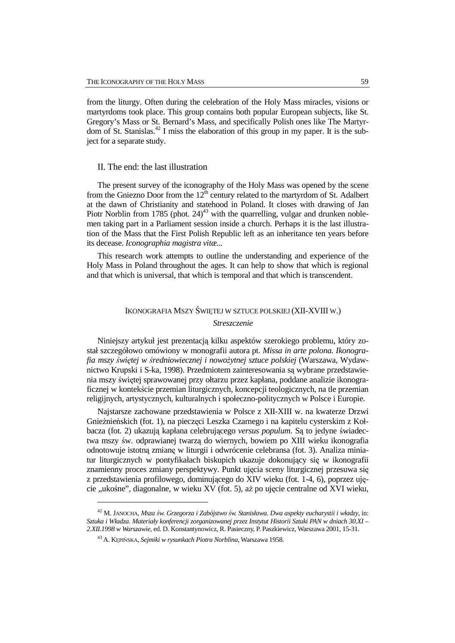from the liturgy. Often during the celebration of the Holy Mass miracles, visions or martyrdoms took place. This group contains both popular European subjects, like St. Gregory's Mass or St. Bernard's Mass, and specifically Polish ones like The Martyrdom of St. Stanislas.<sup>42</sup> I miss the elaboration of this group in my paper. It is the subject for a separate study.

#### II. The end: the last illustration

The present survey of the iconography of the Holy Mass was opened by the scene from the Gniezno Door from the  $12^{th}$  century related to the martyrdom of St. Adalbert at the dawn of Christianity and statehood in Poland. It closes with drawing of Jan Piotr Norblin from 1785 (phot.  $24)^{43}$  with the quarrelling, vulgar and drunken noblemen taking part in a Parliament session inside a church. Perhaps it is the last illustration of the Mass that the First Polish Republic left as an inheritance ten years before its decease. *Iconographia magistra vitæ...* 

This research work attempts to outline the understanding and experience of the Holy Mass in Poland throughout the ages. It can help to show that which is regional and that which is universal, that which is temporal and that which is transcendent.

## IKONOGRAFIA MSZY ŚWIĘTEJ W SZTUCE POLSKIEJ (XII-XVIII W.)

## *Streszczenie*

Niniejszy artykuł jest prezentacją kilku aspektów szerokiego problemu, który został szczegółowo omówiony w monografii autora pt. *Missa in arte polona. Ikonografia mszy* ś*wi*ę*tej w* ś*redniowiecznej i nowo*Ŝ*ytnej sztuce polskiej* (Warszawa, Wydawnictwo Krupski i S-ka, 1998). Przedmiotem zainteresowania są wybrane przedstawienia mszy świętej sprawowanej przy ołtarzu przez kapłana, poddane analizie ikonograficznej w kontekście przemian liturgicznych, koncepcji teologicznych, na tle przemian religijnych, artystycznych, kulturalnych i społeczno-politycznych w Polsce i Europie.

Najstarsze zachowane przedstawienia w Polsce z XII-XIII w. na kwaterze Drzwi Gnieźnieńskich (fot. 1), na pieczęci Leszka Czarnego i na kapitelu cysterskim z Kołbacza (fot. 2) ukazują kapłana celebrującego *versus populum*. Są to jedyne świadectwa mszy św. odprawianej twarzą do wiernych, bowiem po XIII wieku ikonografia odnotowuje istotną zmianę w liturgii i odwrócenie celebransa (fot. 3). Analiza miniatur liturgicznych w pontyfikałach biskupich ukazuje dokonujący się w ikonografii znamienny proces zmiany perspektywy. Punkt ujęcia sceny liturgicznej przesuwa się z przedstawienia profilowego, dominującego do XIV wieku (fot. 1-4, 6), poprzez ujęcie "ukośne", diagonalne, w wieku XV (fot. 5), aż po ujęcie centralne od XVI wieku,

<sup>42</sup> M. JANOCHA, *Msza* ś*w. Grzegorza i Zabójstwo* ś*w. Stanisława. Dwa aspekty eucharystii i władzy*, in: *Sztuka i Władza. Materiały konferencji zorganizowanej przez Instytut Historii Sztuki PAN w dniach 30.XI – 2.XII.1998 w Warszawie*, ed. D. Konstantynowicz, R. Pasieczny, P. Paszkiewicz, Warszawa 2001, 15-31.

<sup>43</sup> A. KĘPIŃSKA, *Sejmiki w rysunkach Piotra Norblina*, Warszawa 1958.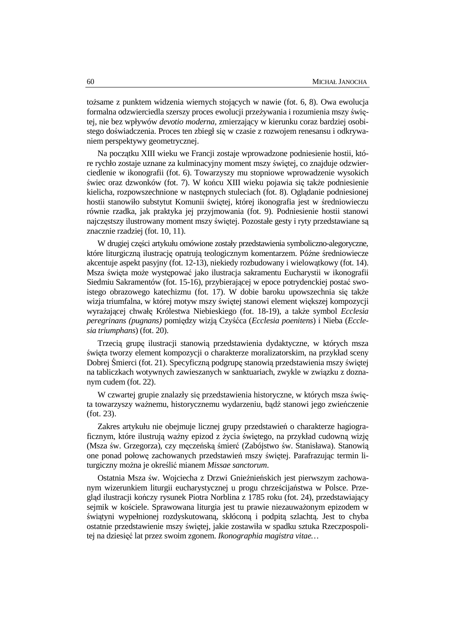toŜsame z punktem widzenia wiernych stojących w nawie (fot. 6, 8). Owa ewolucja formalna odzwierciedla szerszy proces ewolucji przeżywania i rozumienia mszy świętej, nie bez wpływów *devotio moderna*, zmierzający w kierunku coraz bardziej osobistego doświadczenia. Proces ten zbiegł się w czasie z rozwojem renesansu i odkrywaniem perspektywy geometrycznej.

Na początku XIII wieku we Francji zostaje wprowadzone podniesienie hostii, które rychło zostaje uznane za kulminacyjny moment mszy świętej, co znajduje odzwierciedlenie w ikonografii (fot. 6). Towarzyszy mu stopniowe wprowadzenie wysokich świec oraz dzwonków (fot. 7). W końcu XIII wieku pojawia się także podniesienie kielicha, rozpowszechnione w następnych stuleciach (fot. 8). Oglądanie podniesionej hostii stanowiło substytut Komunii świętej, której ikonografia jest w średniowieczu równie rzadka, jak praktyka jej przyjmowania (fot. 9). Podniesienie hostii stanowi najczęstszy ilustrowany moment mszy świętej. Pozostałe gesty i ryty przedstawiane są znacznie rzadziej (fot. 10, 11).

W drugiej części artykułu omówione zostały przedstawienia symboliczno-alegoryczne, które liturgiczną ilustrację opatrują teologicznym komentarzem. Późne średniowiecze akcentuje aspekt pasyjny (fot. 12-13), niekiedy rozbudowany i wielowątkowy (fot. 14). Msza święta może występować jako ilustracja sakramentu Eucharystii w ikonografii Siedmiu Sakramentów (fot. 15-16), przybierającej w epoce potrydenckiej postać swoistego obrazowego katechizmu (fot. 17). W dobie baroku upowszechnia się także wizja triumfalna, w której motyw mszy świętej stanowi element większej kompozycji wyrażającej chwałę Królestwa Niebieskiego (fot. 18-19), a także symbol *Ecclesia peregrinans (pugnans)* pomiędzy wizją Czyśćca (*Ecclesia poenitens*) i Nieba (*Ecclesia triumphans*) (fot. 20).

Trzecią grupę ilustracji stanowią przedstawienia dydaktyczne, w których msza święta tworzy element kompozycji o charakterze moralizatorskim, na przykład sceny Dobrej Śmierci (fot. 21). Specyficzną podgrupę stanowią przedstawienia mszy świętej na tabliczkach wotywnych zawieszanych w sanktuariach, zwykle w związku z doznanym cudem (fot. 22).

W czwartej grupie znalazły się przedstawienia historyczne, w których msza święta towarzyszy ważnemu, historycznemu wydarzeniu, bądź stanowi jego zwieńczenie (fot. 23).

Zakres artykułu nie obejmuje licznej grupy przedstawień o charakterze hagiograficznym, które ilustrują ważny epizod z życia świętego, na przykład cudowną wizję (Msza św. Grzegorza), czy męczeńską śmierć (Zabójstwo św. Stanisława). Stanowią one ponad połowę zachowanych przedstawień mszy świętej. Parafrazując termin liturgiczny można je określić mianem Missae sanctorum.

Ostatnia Msza św. Wojciecha z Drzwi Gnieźnieńskich jest pierwszym zachowanym wizerunkiem liturgii eucharystycznej u progu chrześcijaństwa w Polsce. Przegląd ilustracji kończy rysunek Piotra Norblina z 1785 roku (fot. 24), przedstawiający sejmik w kościele. Sprawowana liturgia jest tu prawie niezauważonym epizodem w świątyni wypełnionej rozdyskutowaną, skłóconą i podpitą szlachtą. Jest to chyba ostatnie przedstawienie mszy świętej, jakie zostawiła w spadku sztuka Rzeczpospolitej na dziesięć lat przez swoim zgonem. *Ikonographia magistra vitae…*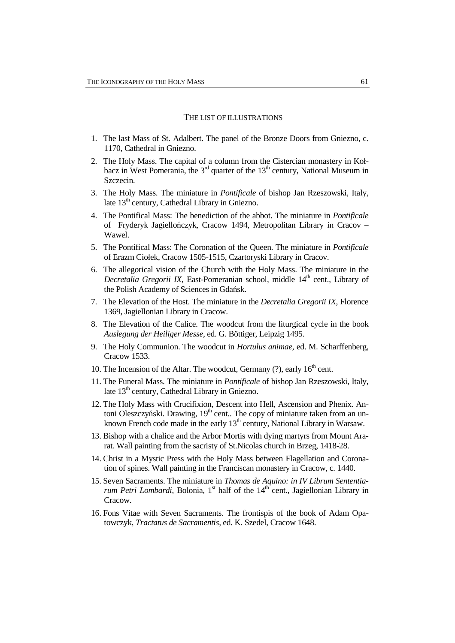#### THE LIST OF ILLUSTRATIONS

- 1. The last Mass of St. Adalbert. The panel of the Bronze Doors from Gniezno, c. 1170, Cathedral in Gniezno.
- 2. The Holy Mass. The capital of a column from the Cistercian monastery in Kołbacz in West Pomerania, the  $3<sup>rd</sup>$  quarter of the  $13<sup>th</sup>$  century, National Museum in Szczecin.
- 3. The Holy Mass. The miniature in *Pontificale* of bishop Jan Rzeszowski, Italy, late 13<sup>th</sup> century, Cathedral Library in Gniezno.
- 4. The Pontifical Mass: The benediction of the abbot. The miniature in *Pontificale* of Fryderyk Jagiellończyk, Cracow 1494, Metropolitan Library in Cracov – Wawel.
- 5. The Pontifical Mass: The Coronation of the Queen. The miniature in *Pontificale*  of Erazm Ciołek, Cracow 1505-1515, Czartoryski Library in Cracov.
- 6. The allegorical vision of the Church with the Holy Mass. The miniature in the *Decretalia Gregorii IX*, East-Pomeranian school, middle 14<sup>th</sup> cent., Library of the Polish Academy of Sciences in Gdańsk.
- 7. The Elevation of the Host. The miniature in the *Decretalia Gregorii IX*, Florence 1369, Jagiellonian Library in Cracow.
- 8. The Elevation of the Calice. The woodcut from the liturgical cycle in the book *Auslegung der Heiliger Messe*, ed. G. Böttiger, Leipzig 1495.
- 9. The Holy Communion. The woodcut in *Hortulus animae*, ed. M. Scharffenberg, Cracow 1533.
- 10. The Incension of the Altar. The woodcut, Germany  $(?)$ , early  $16<sup>th</sup>$  cent.
- 11. The Funeral Mass. The miniature in *Pontificale* of bishop Jan Rzeszowski, Italy, late 13<sup>th</sup> century, Cathedral Library in Gniezno.
- 12. The Holy Mass with Crucifixion, Descent into Hell, Ascension and Phenix. Antoni Oleszczyński. Drawing,  $19<sup>th</sup>$  cent.. The copy of miniature taken from an unknown French code made in the early  $13<sup>th</sup>$  century, National Library in Warsaw.
- 13. Bishop with a chalice and the Arbor Mortis with dying martyrs from Mount Ararat. Wall painting from the sacristy of St.Nicolas church in Brzeg, 1418-28.
- 14. Christ in a Mystic Press with the Holy Mass between Flagellation and Coronation of spines. Wall painting in the Franciscan monastery in Cracow, c. 1440.
- 15. Seven Sacraments. The miniature in *Thomas de Aquino: in IV Librum Sententiarum Petri Lombardi*, Bolonia,  $1<sup>st</sup>$  half of the  $14<sup>th</sup>$  cent., Jagiellonian Library in Cracow.
- 16. Fons Vitae with Seven Sacraments. The frontispis of the book of Adam Opatowczyk, *Tractatus de Sacramentis,* ed. K. Szedel, Cracow 1648.